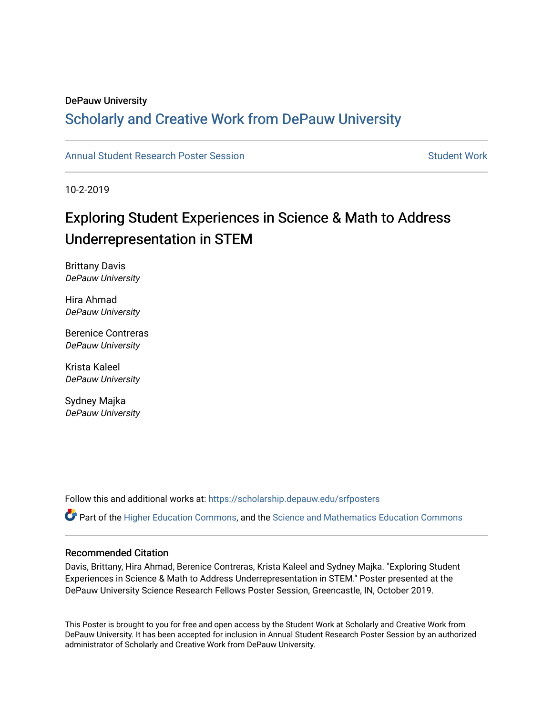### DePauw University

### Scholarly and [Creative Work from DePauw Univ](https://scholarship.depauw.edu/)ersity

### [Annual Student Research Poster Session](https://scholarship.depauw.edu/srfposters) Student Work

10-2-2019

### Exploring Student Experiences in Science & Math to Address Underrepresentation in STEM

Brittany Davis DePauw University

Hira Ahmad DePauw University

Berenice Contreras DePauw University

Krista Kaleel DePauw University

Sydney Majka DePauw University

Follow this and additional works at: [https://scholarship.depauw.edu/srfposters](https://scholarship.depauw.edu/srfposters?utm_source=scholarship.depauw.edu%2Fsrfposters%2F25&utm_medium=PDF&utm_campaign=PDFCoverPages) 

 $\bullet$  Part of the [Higher Education Commons,](https://network.bepress.com/hgg/discipline/1245?utm_source=scholarship.depauw.edu%2Fsrfposters%2F25&utm_medium=PDF&utm_campaign=PDFCoverPages) and the [Science and Mathematics Education Commons](https://network.bepress.com/hgg/discipline/800?utm_source=scholarship.depauw.edu%2Fsrfposters%2F25&utm_medium=PDF&utm_campaign=PDFCoverPages)

### Recommended Citation

Davis, Brittany, Hira Ahmad, Berenice Contreras, Krista Kaleel and Sydney Majka. "Exploring Student Experiences in Science & Math to Address Underrepresentation in STEM." Poster presented at the DePauw University Science Research Fellows Poster Session, Greencastle, IN, October 2019.

This Poster is brought to you for free and open access by the Student Work at Scholarly and Creative Work from DePauw University. It has been accepted for inclusion in Annual Student Research Poster Session by an authorized administrator of Scholarly and Creative Work from DePauw University.